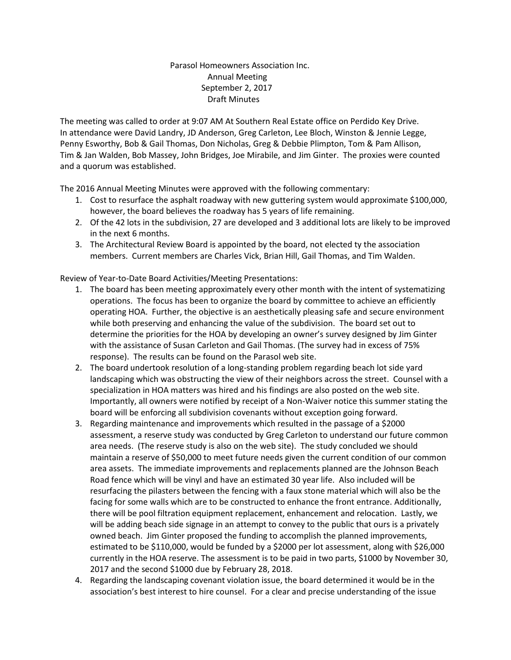## Parasol Homeowners Association Inc. Annual Meeting September 2, 2017 Draft Minutes

The meeting was called to order at 9:07 AM At Southern Real Estate office on Perdido Key Drive. In attendance were David Landry, JD Anderson, Greg Carleton, Lee Bloch, Winston & Jennie Legge, Penny Esworthy, Bob & Gail Thomas, Don Nicholas, Greg & Debbie Plimpton, Tom & Pam Allison, Tim & Jan Walden, Bob Massey, John Bridges, Joe Mirabile, and Jim Ginter. The proxies were counted and a quorum was established.

The 2016 Annual Meeting Minutes were approved with the following commentary:

- 1. Cost to resurface the asphalt roadway with new guttering system would approximate \$100,000, however, the board believes the roadway has 5 years of life remaining.
- 2. Of the 42 lots in the subdivision, 27 are developed and 3 additional lots are likely to be improved in the next 6 months.
- 3. The Architectural Review Board is appointed by the board, not elected ty the association members. Current members are Charles Vick, Brian Hill, Gail Thomas, and Tim Walden.

Review of Year-to-Date Board Activities/Meeting Presentations:

- 1. The board has been meeting approximately every other month with the intent of systematizing operations. The focus has been to organize the board by committee to achieve an efficiently operating HOA. Further, the objective is an aesthetically pleasing safe and secure environment while both preserving and enhancing the value of the subdivision. The board set out to determine the priorities for the HOA by developing an owner's survey designed by Jim Ginter with the assistance of Susan Carleton and Gail Thomas. (The survey had in excess of 75% response). The results can be found on the Parasol web site.
- 2. The board undertook resolution of a long-standing problem regarding beach lot side yard landscaping which was obstructing the view of their neighbors across the street. Counsel with a specialization in HOA matters was hired and his findings are also posted on the web site. Importantly, all owners were notified by receipt of a Non-Waiver notice this summer stating the board will be enforcing all subdivision covenants without exception going forward.
- 3. Regarding maintenance and improvements which resulted in the passage of a \$2000 assessment, a reserve study was conducted by Greg Carleton to understand our future common area needs. (The reserve study is also on the web site). The study concluded we should maintain a reserve of \$50,000 to meet future needs given the current condition of our common area assets. The immediate improvements and replacements planned are the Johnson Beach Road fence which will be vinyl and have an estimated 30 year life. Also included will be resurfacing the pilasters between the fencing with a faux stone material which will also be the facing for some walls which are to be constructed to enhance the front entrance. Additionally, there will be pool filtration equipment replacement, enhancement and relocation. Lastly, we will be adding beach side signage in an attempt to convey to the public that ours is a privately owned beach. Jim Ginter proposed the funding to accomplish the planned improvements, estimated to be \$110,000, would be funded by a \$2000 per lot assessment, along with \$26,000 currently in the HOA reserve. The assessment is to be paid in two parts, \$1000 by November 30, 2017 and the second \$1000 due by February 28, 2018.
- 4. Regarding the landscaping covenant violation issue, the board determined it would be in the association's best interest to hire counsel. For a clear and precise understanding of the issue